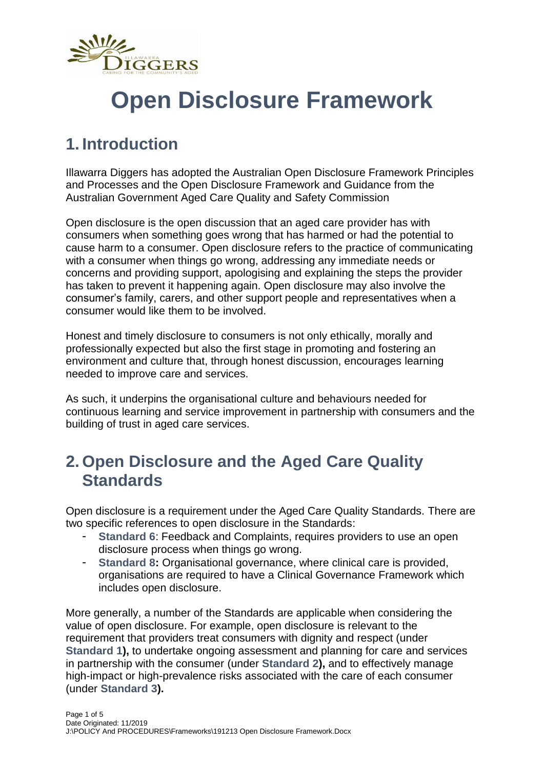

# **Open Disclosure Framework**

# **1. Introduction**

Illawarra Diggers has adopted the Australian Open Disclosure Framework Principles and Processes and the Open Disclosure Framework and Guidance from the Australian Government Aged Care Quality and Safety Commission

Open disclosure is the open discussion that an aged care provider has with consumers when something goes wrong that has harmed or had the potential to cause harm to a consumer. Open disclosure refers to the practice of communicating with a consumer when things go wrong, addressing any immediate needs or concerns and providing support, apologising and explaining the steps the provider has taken to prevent it happening again. Open disclosure may also involve the consumer's family, carers, and other support people and representatives when a consumer would like them to be involved.

Honest and timely disclosure to consumers is not only ethically, morally and professionally expected but also the first stage in promoting and fostering an environment and culture that, through honest discussion, encourages learning needed to improve care and services.

As such, it underpins the organisational culture and behaviours needed for continuous learning and service improvement in partnership with consumers and the building of trust in aged care services.

### **2. Open Disclosure and the Aged Care Quality Standards**

Open disclosure is a requirement under the Aged Care Quality Standards. There are two specific references to open disclosure in the Standards:

- **Standard 6**: Feedback and Complaints, requires providers to use an open disclosure process when things go wrong.
- Standard 8: Organisational governance, where clinical care is provided, organisations are required to have a Clinical Governance Framework which includes open disclosure.

More generally, a number of the Standards are applicable when considering the value of open disclosure. For example, open disclosure is relevant to the requirement that providers treat consumers with dignity and respect (under **Standard 1),** to undertake ongoing assessment and planning for care and services in partnership with the consumer (under **Standard 2),** and to effectively manage high-impact or high-prevalence risks associated with the care of each consumer (under **Standard 3).**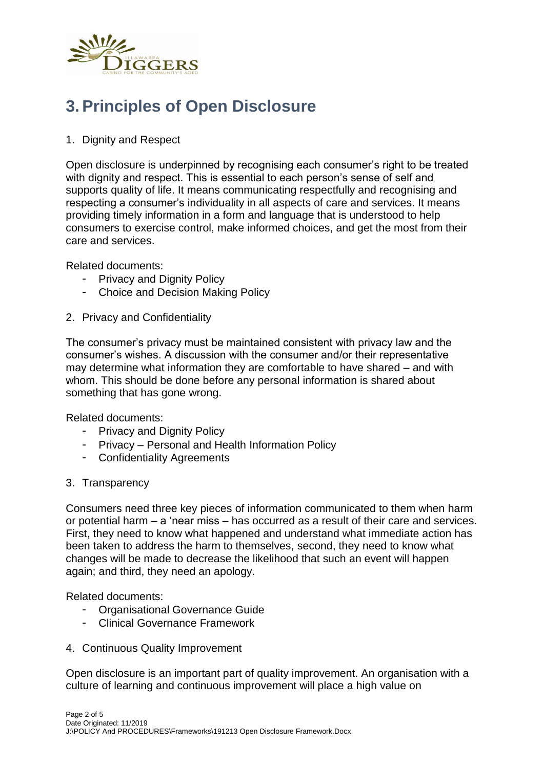

## **3. Principles of Open Disclosure**

#### 1. Dignity and Respect

Open disclosure is underpinned by recognising each consumer's right to be treated with dignity and respect. This is essential to each person's sense of self and supports quality of life. It means communicating respectfully and recognising and respecting a consumer's individuality in all aspects of care and services. It means providing timely information in a form and language that is understood to help consumers to exercise control, make informed choices, and get the most from their care and services.

Related documents:

- Privacy and Dignity Policy
- Choice and Decision Making Policy
- 2. Privacy and Confidentiality

The consumer's privacy must be maintained consistent with privacy law and the consumer's wishes. A discussion with the consumer and/or their representative may determine what information they are comfortable to have shared – and with whom. This should be done before any personal information is shared about something that has gone wrong.

Related documents:

- Privacy and Dignity Policy
- Privacy Personal and Health Information Policy
- Confidentiality Agreements
- 3. Transparency

Consumers need three key pieces of information communicated to them when harm or potential harm – a 'near miss – has occurred as a result of their care and services. First, they need to know what happened and understand what immediate action has been taken to address the harm to themselves, second, they need to know what changes will be made to decrease the likelihood that such an event will happen again; and third, they need an apology.

Related documents:

- Organisational Governance Guide
- Clinical Governance Framework
- 4. Continuous Quality Improvement

Open disclosure is an important part of quality improvement. An organisation with a culture of learning and continuous improvement will place a high value on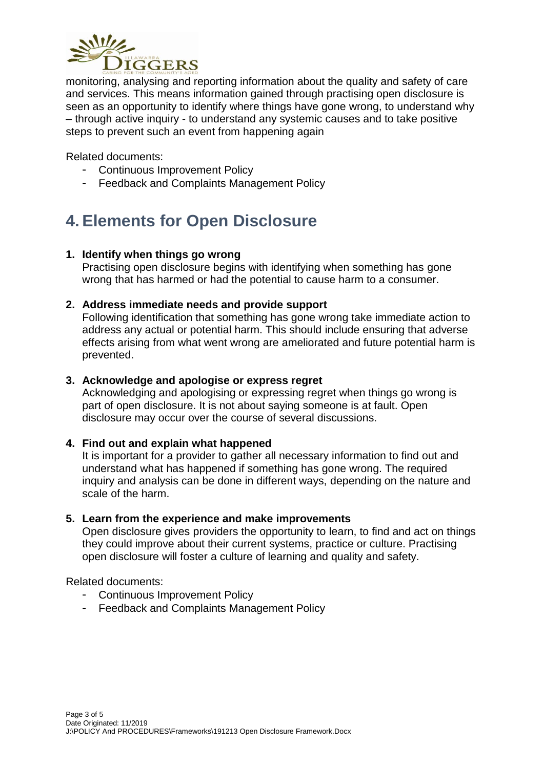

monitoring, analysing and reporting information about the quality and safety of care and services. This means information gained through practising open disclosure is seen as an opportunity to identify where things have gone wrong, to understand why – through active inquiry - to understand any systemic causes and to take positive steps to prevent such an event from happening again

Related documents:

- Continuous Improvement Policy
- Feedback and Complaints Management Policy

## **4. Elements for Open Disclosure**

#### **1. Identify when things go wrong**

Practising open disclosure begins with identifying when something has gone wrong that has harmed or had the potential to cause harm to a consumer.

#### **2. Address immediate needs and provide support**

Following identification that something has gone wrong take immediate action to address any actual or potential harm. This should include ensuring that adverse effects arising from what went wrong are ameliorated and future potential harm is prevented.

#### **3. Acknowledge and apologise or express regret**

Acknowledging and apologising or expressing regret when things go wrong is part of open disclosure. It is not about saying someone is at fault. Open disclosure may occur over the course of several discussions.

#### **4. Find out and explain what happened**

It is important for a provider to gather all necessary information to find out and understand what has happened if something has gone wrong. The required inquiry and analysis can be done in different ways, depending on the nature and scale of the harm.

#### **5. Learn from the experience and make improvements**

Open disclosure gives providers the opportunity to learn, to find and act on things they could improve about their current systems, practice or culture. Practising open disclosure will foster a culture of learning and quality and safety.

Related documents:

- Continuous Improvement Policy
- Feedback and Complaints Management Policy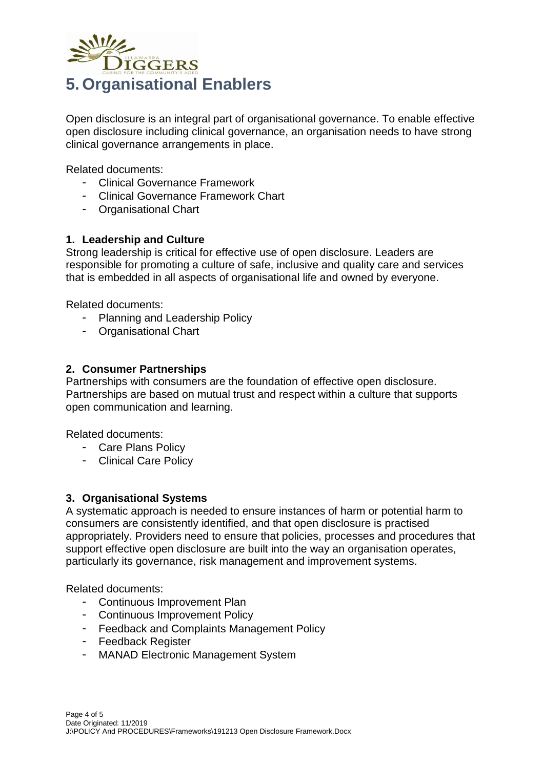

Open disclosure is an integral part of organisational governance. To enable effective open disclosure including clinical governance, an organisation needs to have strong clinical governance arrangements in place.

Related documents:

- Clinical Governance Framework
- Clinical Governance Framework Chart
- Organisational Chart

#### **1. Leadership and Culture**

Strong leadership is critical for effective use of open disclosure. Leaders are responsible for promoting a culture of safe, inclusive and quality care and services that is embedded in all aspects of organisational life and owned by everyone.

Related documents:

- Planning and Leadership Policy
- Organisational Chart

#### **2. Consumer Partnerships**

Partnerships with consumers are the foundation of effective open disclosure. Partnerships are based on mutual trust and respect within a culture that supports open communication and learning.

Related documents:

- Care Plans Policy
- Clinical Care Policy

#### **3. Organisational Systems**

A systematic approach is needed to ensure instances of harm or potential harm to consumers are consistently identified, and that open disclosure is practised appropriately. Providers need to ensure that policies, processes and procedures that support effective open disclosure are built into the way an organisation operates, particularly its governance, risk management and improvement systems.

Related documents:

- Continuous Improvement Plan
- Continuous Improvement Policy
- Feedback and Complaints Management Policy
- Feedback Register
- MANAD Electronic Management System